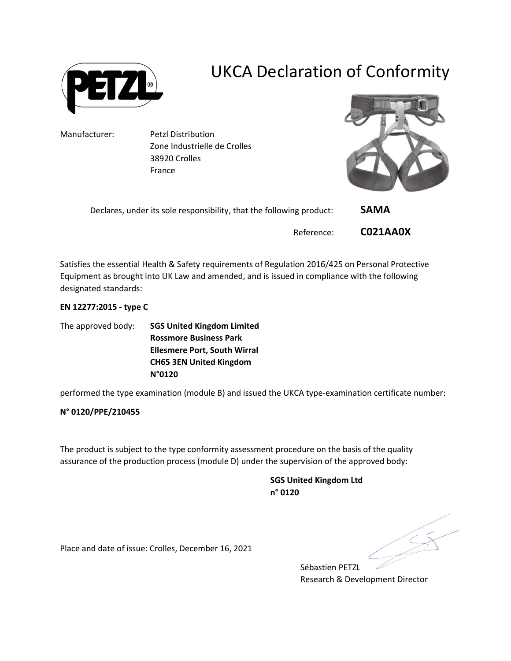

# UKCA Declaration of Conformity

Manufacturer: Petzl Distribution Zone Industrielle de Crolles 38920 Crolles France



| Declares, under its sole responsibility, that the following product: | <b>SAMA</b> |  |
|----------------------------------------------------------------------|-------------|--|
| Reference:                                                           | CO21AA0X    |  |

Satisfies the essential Health & Safety requirements of Regulation 2016/425 on Personal Protective Equipment as brought into UK Law and amended, and is issued in compliance with the following designated standards:

### EN 12277:2015 - type C

The approved body: SGS United Kingdom Limited Rossmore Business Park Ellesmere Port, South Wirral CH65 3EN United Kingdom N°0120

performed the type examination (module B) and issued the UKCA type-examination certificate number:

### N° 0120/PPE/210455

The product is subject to the type conformity assessment procedure on the basis of the quality assurance of the production process (module D) under the supervision of the approved body:

> SGS United Kingdom Ltd n° 0120

Place and date of issue: Crolles, December 16, 2021

Sébastien PETZL Research & Development Director